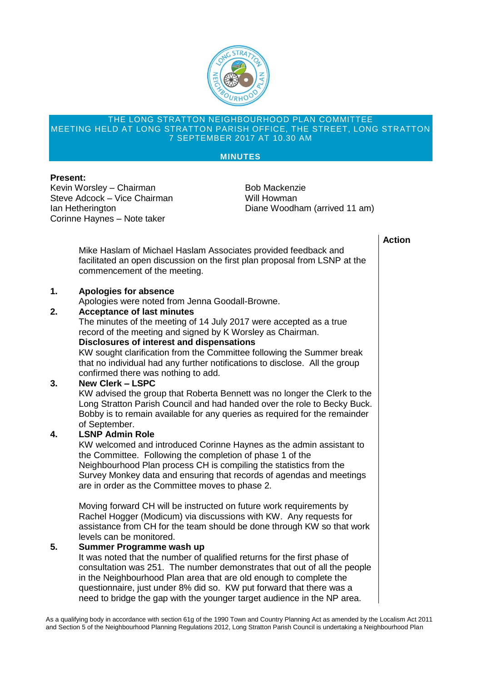

#### THE LONG STRATTON NEIGHBOURHOOD PLAN COMMITTEE MEETING HELD AT LONG STRATTON PARISH OFFICE, THE STREET, LONG STRATTON 7 SEPTEMBER 2017 AT 10.30 AM

### **MINUTES**

## **Present:**

Kevin Worsley – Chairman Bob Mackenzie Steve Adcock – Vice Chairman Will Howman Corinne Haynes – Note taker

Ian Hetherington Diane Woodham (arrived 11 am)

## **Action**

Mike Haslam of Michael Haslam Associates provided feedback and facilitated an open discussion on the first plan proposal from LSNP at the commencement of the meeting.

# **1. Apologies for absence**

Apologies were noted from Jenna Goodall-Browne.

## **2. Acceptance of last minutes**

The minutes of the meeting of 14 July 2017 were accepted as a true record of the meeting and signed by K Worsley as Chairman.

## **Disclosures of interest and dispensations**

KW sought clarification from the Committee following the Summer break that no individual had any further notifications to disclose. All the group confirmed there was nothing to add.

### **3. New Clerk – LSPC**

KW advised the group that Roberta Bennett was no longer the Clerk to the Long Stratton Parish Council and had handed over the role to Becky Buck. Bobby is to remain available for any queries as required for the remainder of September.

### **4. LSNP Admin Role**

KW welcomed and introduced Corinne Haynes as the admin assistant to the Committee. Following the completion of phase 1 of the Neighbourhood Plan process CH is compiling the statistics from the Survey Monkey data and ensuring that records of agendas and meetings are in order as the Committee moves to phase 2.

Moving forward CH will be instructed on future work requirements by Rachel Hogger (Modicum) via discussions with KW. Any requests for assistance from CH for the team should be done through KW so that work levels can be monitored.

### **5. Summer Programme wash up**

It was noted that the number of qualified returns for the first phase of consultation was 251. The number demonstrates that out of all the people in the Neighbourhood Plan area that are old enough to complete the questionnaire, just under 8% did so. KW put forward that there was a need to bridge the gap with the younger target audience in the NP area.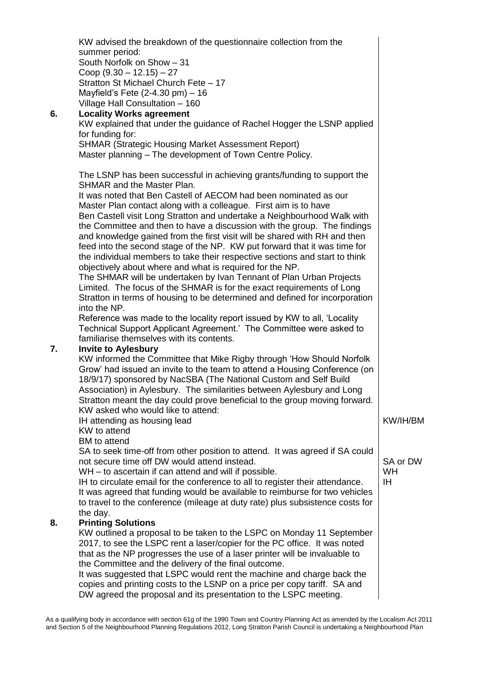| 6. | KW advised the breakdown of the questionnaire collection from the<br>summer period:<br>South Norfolk on Show - 31<br>Coop $(9.30 - 12.15) - 27$<br>Stratton St Michael Church Fete - 17<br>Mayfield's Fete $(2-4.30 \text{ pm}) - 16$<br>Village Hall Consultation - 160<br><b>Locality Works agreement</b><br>KW explained that under the guidance of Rachel Hogger the LSNP applied<br>for funding for:<br><b>SHMAR (Strategic Housing Market Assessment Report)</b><br>Master planning - The development of Town Centre Policy.                                                                                                                                                                                                                                                                                                                                                                                                                                                                                                                                                                                 |                                   |
|----|--------------------------------------------------------------------------------------------------------------------------------------------------------------------------------------------------------------------------------------------------------------------------------------------------------------------------------------------------------------------------------------------------------------------------------------------------------------------------------------------------------------------------------------------------------------------------------------------------------------------------------------------------------------------------------------------------------------------------------------------------------------------------------------------------------------------------------------------------------------------------------------------------------------------------------------------------------------------------------------------------------------------------------------------------------------------------------------------------------------------|-----------------------------------|
|    | The LSNP has been successful in achieving grants/funding to support the<br><b>SHMAR and the Master Plan.</b><br>It was noted that Ben Castell of AECOM had been nominated as our<br>Master Plan contact along with a colleague. First aim is to have<br>Ben Castell visit Long Stratton and undertake a Neighbourhood Walk with<br>the Committee and then to have a discussion with the group. The findings<br>and knowledge gained from the first visit will be shared with RH and then<br>feed into the second stage of the NP. KW put forward that it was time for<br>the individual members to take their respective sections and start to think<br>objectively about where and what is required for the NP.<br>The SHMAR will be undertaken by Ivan Tennant of Plan Urban Projects<br>Limited. The focus of the SHMAR is for the exact requirements of Long<br>Stratton in terms of housing to be determined and defined for incorporation<br>into the NP.<br>Reference was made to the locality report issued by KW to all, 'Locality<br>Technical Support Applicant Agreement.' The Committee were asked to |                                   |
| 7. | familiarise themselves with its contents.<br><b>Invite to Aylesbury</b><br>KW informed the Committee that Mike Rigby through 'How Should Norfolk<br>Grow' had issued an invite to the team to attend a Housing Conference (on<br>18/9/17) sponsored by NacSBA (The National Custom and Self Build<br>Association) in Aylesbury. The similarities between Aylesbury and Long<br>Stratton meant the day could prove beneficial to the group moving forward.<br>KW asked who would like to attend:<br>IH attending as housing lead<br>KW to attend<br><b>BM</b> to attend<br>SA to seek time-off from other position to attend. It was agreed if SA could<br>not secure time off DW would attend instead.<br>WH - to ascertain if can attend and will if possible.                                                                                                                                                                                                                                                                                                                                                    | KW/IH/BM<br>SA or DW<br><b>WH</b> |
| 8. | IH to circulate email for the conference to all to register their attendance.<br>It was agreed that funding would be available to reimburse for two vehicles<br>to travel to the conference (mileage at duty rate) plus subsistence costs for<br>the day.<br><b>Printing Solutions</b><br>KW outlined a proposal to be taken to the LSPC on Monday 11 September<br>2017, to see the LSPC rent a laser/copier for the PC office. It was noted<br>that as the NP progresses the use of a laser printer will be invaluable to<br>the Committee and the delivery of the final outcome.<br>It was suggested that LSPC would rent the machine and charge back the<br>copies and printing costs to the LSNP on a price per copy tariff. SA and<br>DW agreed the proposal and its presentation to the LSPC meeting.                                                                                                                                                                                                                                                                                                        | <b>IH</b>                         |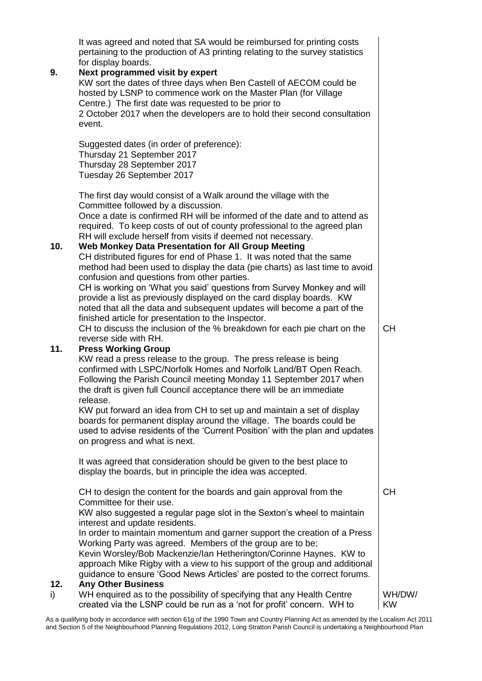| 9.  | It was agreed and noted that SA would be reimbursed for printing costs<br>pertaining to the production of A3 printing relating to the survey statistics<br>for display boards.<br>Next programmed visit by expert<br>KW sort the dates of three days when Ben Castell of AECOM could be<br>hosted by LSNP to commence work on the Master Plan (for Village<br>Centre.) The first date was requested to be prior to<br>2 October 2017 when the developers are to hold their second consultation<br>event.                                                                                                           |                     |
|-----|--------------------------------------------------------------------------------------------------------------------------------------------------------------------------------------------------------------------------------------------------------------------------------------------------------------------------------------------------------------------------------------------------------------------------------------------------------------------------------------------------------------------------------------------------------------------------------------------------------------------|---------------------|
|     | Suggested dates (in order of preference):<br>Thursday 21 September 2017<br>Thursday 28 September 2017<br>Tuesday 26 September 2017                                                                                                                                                                                                                                                                                                                                                                                                                                                                                 |                     |
|     | The first day would consist of a Walk around the village with the<br>Committee followed by a discussion.<br>Once a date is confirmed RH will be informed of the date and to attend as<br>required. To keep costs of out of county professional to the agreed plan<br>RH will exclude herself from visits if deemed not necessary.                                                                                                                                                                                                                                                                                  |                     |
| 10. | Web Monkey Data Presentation for All Group Meeting<br>CH distributed figures for end of Phase 1. It was noted that the same<br>method had been used to display the data (pie charts) as last time to avoid<br>confusion and questions from other parties.<br>CH is working on 'What you said' questions from Survey Monkey and will<br>provide a list as previously displayed on the card display boards. KW<br>noted that all the data and subsequent updates will become a part of the                                                                                                                           |                     |
|     | finished article for presentation to the Inspector.<br>CH to discuss the inclusion of the % breakdown for each pie chart on the<br>reverse side with RH.                                                                                                                                                                                                                                                                                                                                                                                                                                                           | <b>CH</b>           |
| 11. | <b>Press Working Group</b><br>KW read a press release to the group. The press release is being<br>confirmed with LSPC/Norfolk Homes and Norfolk Land/BT Open Reach.<br>Following the Parish Council meeting Monday 11 September 2017 when<br>the draft is given full Council acceptance there will be an immediate<br>release.<br>KW put forward an idea from CH to set up and maintain a set of display<br>boards for permanent display around the village. The boards could be<br>used to advise residents of the 'Current Position' with the plan and updates<br>on progress and what is next.                  |                     |
|     | It was agreed that consideration should be given to the best place to<br>display the boards, but in principle the idea was accepted.                                                                                                                                                                                                                                                                                                                                                                                                                                                                               |                     |
| 12. | CH to design the content for the boards and gain approval from the<br>Committee for their use.<br>KW also suggested a regular page slot in the Sexton's wheel to maintain<br>interest and update residents.<br>In order to maintain momentum and garner support the creation of a Press<br>Working Party was agreed. Members of the group are to be;<br>Kevin Worsley/Bob Mackenzie/Ian Hetherington/Corinne Haynes. KW to<br>approach Mike Rigby with a view to his support of the group and additional<br>guidance to ensure 'Good News Articles' are posted to the correct forums.<br><b>Any Other Business</b> | <b>CH</b>           |
| i)  | WH enquired as to the possibility of specifying that any Health Centre<br>created via the LSNP could be run as a 'not for profit' concern. WH to                                                                                                                                                                                                                                                                                                                                                                                                                                                                   | WH/DW/<br><b>KW</b> |

As a qualifying body in accordance with section 61g of the 1990 Town and Country Planning Act as amended by the Localism Act 2011 and Section 5 of the Neighbourhood Planning Regulations 2012, Long Stratton Parish Council is undertaking a Neighbourhood Plan